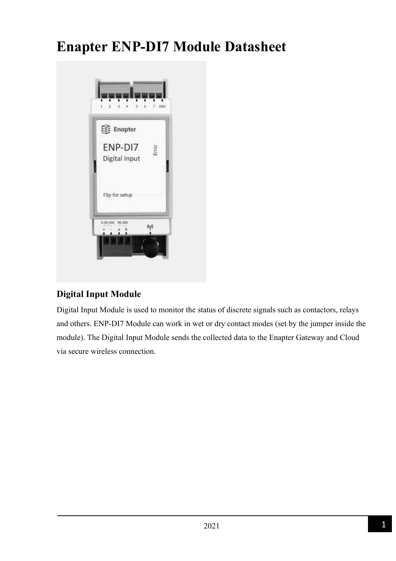# **Enapter ENP-DI7 Module Datasheet**



### **Digital Input Module**

Digital Input Module is used to monitor the status of discrete signals such as contactors, relays and others. ENP-DI7 Module can work in wet or dry contact modes (set by the jumper inside the module). The Digital Input Module sends the collected data to the Enapter Gateway and Cloud via secure wireless connection.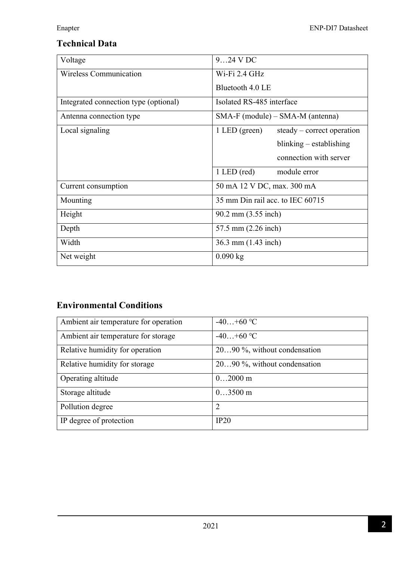## **Technical Data**

| Voltage                               | $924$ V DC                                    |
|---------------------------------------|-----------------------------------------------|
| Wireless Communication                | $Wi$ -Fi 2.4 GHz                              |
|                                       | Bluetooth 4.0 LE                              |
| Integrated connection type (optional) | Isolated RS-485 interface                     |
| Antenna connection type               | SMA-F (module) – SMA-M (antenna)              |
| Local signaling                       | $1$ LED (green)<br>$steady-correct operation$ |
|                                       | $blinking - establishing$                     |
|                                       | connection with server                        |
|                                       | $1$ LED (red)<br>module error                 |
| Current consumption                   | 50 mA 12 V DC, max. 300 mA                    |
| Mounting                              | 35 mm Din rail acc. to IEC 60715              |
| Height                                | 90.2 mm (3.55 inch)                           |
| Depth                                 | 57.5 mm (2.26 inch)                           |
| Width                                 | 36.3 mm (1.43 inch)                           |
| Net weight                            | $0.090$ kg                                    |

# **Environmental Conditions**

| Ambient air temperature for operation | $-40+60$ °C                  |
|---------------------------------------|------------------------------|
| Ambient air temperature for storage   | $-40+60$ °C                  |
| Relative humidity for operation       | 2090 %, without condensation |
| Relative humidity for storage         | 2090 %, without condensation |
| Operating altitude                    | $02000$ m                    |
| Storage altitude                      | $03500$ m                    |
| Pollution degree                      | $\overline{2}$               |
| IP degree of protection               | IP20                         |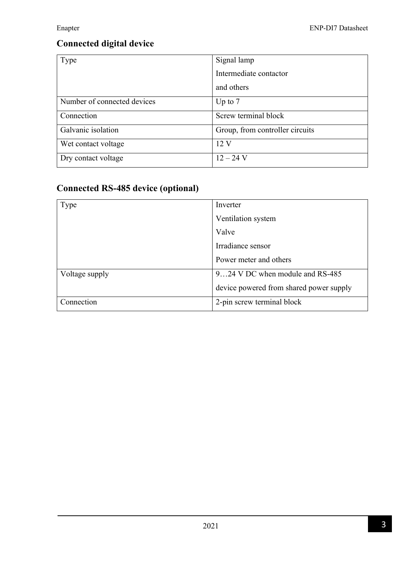# **Connected digital device**

| Type                        | Signal lamp                     |
|-----------------------------|---------------------------------|
|                             | Intermediate contactor          |
|                             | and others                      |
| Number of connected devices | Up to $7$                       |
| Connection                  | Screw terminal block            |
| Galvanic isolation          | Group, from controller circuits |
| Wet contact voltage         | 12V                             |
| Dry contact voltage         | $12 - 24$ V                     |

# **Connected RS-485 device (optional)**

| Type           | Inverter                                |
|----------------|-----------------------------------------|
|                | Ventilation system                      |
|                | Valve                                   |
|                | Irradiance sensor                       |
|                | Power meter and others                  |
| Voltage supply | 924 V DC when module and RS-485         |
|                | device powered from shared power supply |
| Connection     | 2-pin screw terminal block              |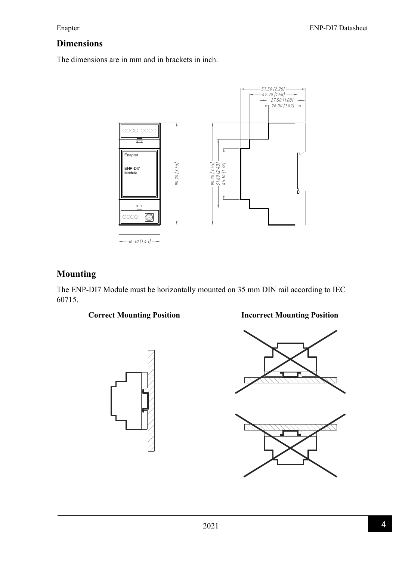### **Dimensions**

The dimensions are in mm and in brackets in inch.



### **Mounting**

The ENP-DI7 Module must be horizontally mounted on 35 mm DIN rail according to IEC 60715.





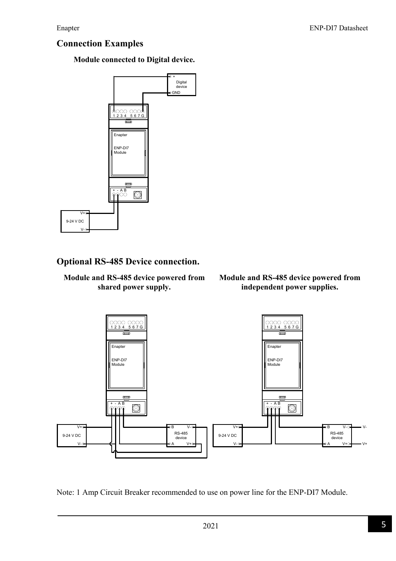### **Connection Examples**

**Module connected to Digital device.** 



### **Optional RS-485 Device connection.**

### **Module and RS-485 device powered from shared power supply.**

### **Module and RS-485 device powered from independent power supplies.**



Note: 1 Amp Circuit Breaker recommended to use on power line for the ENP-DI7 Module.